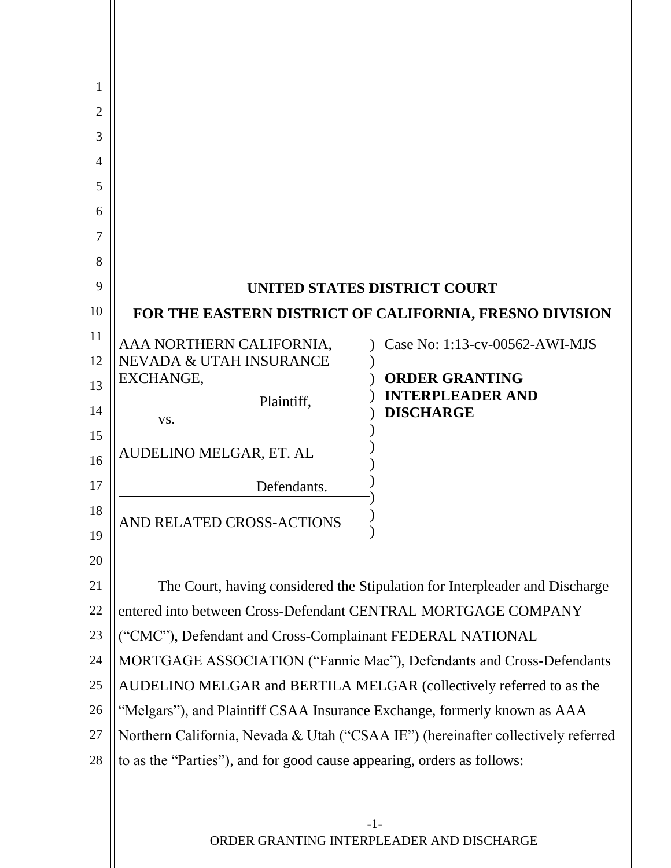| 1              |                                                                                                                                              |                                                  |  |  |
|----------------|----------------------------------------------------------------------------------------------------------------------------------------------|--------------------------------------------------|--|--|
| $\overline{2}$ |                                                                                                                                              |                                                  |  |  |
| 3              |                                                                                                                                              |                                                  |  |  |
| 4              |                                                                                                                                              |                                                  |  |  |
| 5              |                                                                                                                                              |                                                  |  |  |
| 6              |                                                                                                                                              |                                                  |  |  |
| 7              |                                                                                                                                              |                                                  |  |  |
| 8              |                                                                                                                                              |                                                  |  |  |
| 9              | UNITED STATES DISTRICT COURT                                                                                                                 |                                                  |  |  |
| 10             | FOR THE EASTERN DISTRICT OF CALIFORNIA, FRESNO DIVISION                                                                                      |                                                  |  |  |
| 11             | AAA NORTHERN CALIFORNIA,                                                                                                                     | Case No: 1:13-cv-00562-AWI-MJS                   |  |  |
| 12             | NEVADA & UTAH INSURANCE<br>EXCHANGE,                                                                                                         | <b>ORDER GRANTING</b>                            |  |  |
| 13             | Plaintiff,                                                                                                                                   | <b>INTERPLEADER AND</b>                          |  |  |
| 14             | VS.                                                                                                                                          | <b>DISCHARGE</b>                                 |  |  |
| 15             | AUDELINO MELGAR, ET. AL                                                                                                                      |                                                  |  |  |
| 16             |                                                                                                                                              |                                                  |  |  |
| 17             | Defendants.                                                                                                                                  |                                                  |  |  |
| 18<br>19       | AND RELATED CROSS-ACTIONS                                                                                                                    |                                                  |  |  |
| 20             |                                                                                                                                              |                                                  |  |  |
| 21             |                                                                                                                                              |                                                  |  |  |
| 22             | The Court, having considered the Stipulation for Interpleader and Discharge<br>entered into between Cross-Defendant CENTRAL MORTGAGE COMPANY |                                                  |  |  |
| 23             | ("CMC"), Defendant and Cross-Complainant FEDERAL NATIONAL                                                                                    |                                                  |  |  |
| 24             | MORTGAGE ASSOCIATION ("Fannie Mae"), Defendants and Cross-Defendants                                                                         |                                                  |  |  |
| 25             | AUDELINO MELGAR and BERTILA MELGAR (collectively referred to as the                                                                          |                                                  |  |  |
| 26             | "Melgars"), and Plaintiff CSAA Insurance Exchange, formerly known as AAA                                                                     |                                                  |  |  |
| 27             | Northern California, Nevada & Utah ("CSAA IE") (hereinafter collectively referred                                                            |                                                  |  |  |
| 28             | to as the "Parties"), and for good cause appearing, orders as follows:                                                                       |                                                  |  |  |
|                |                                                                                                                                              |                                                  |  |  |
|                |                                                                                                                                              |                                                  |  |  |
|                |                                                                                                                                              | -1-<br>ORDER GRANTING INTERPLEADER AND DISCHARGE |  |  |
|                |                                                                                                                                              |                                                  |  |  |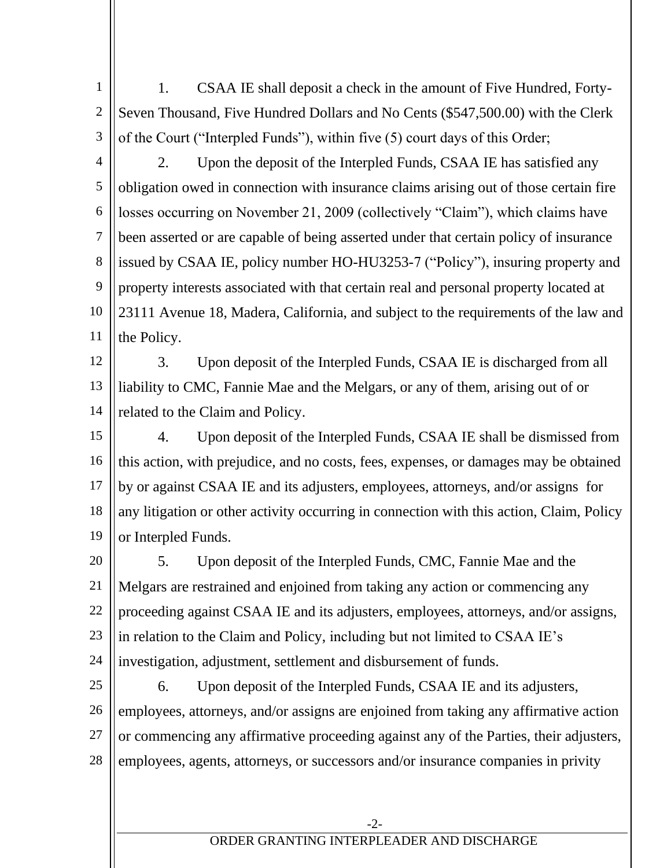1 2 3 1. CSAA IE shall deposit a check in the amount of Five Hundred, Forty-Seven Thousand, Five Hundred Dollars and No Cents (\$547,500.00) with the Clerk of the Court ("Interpled Funds"), within five (5) court days of this Order;

2. Upon the deposit of the Interpled Funds, CSAA IE has satisfied any

4

5 6 7 8 9 10 11 obligation owed in connection with insurance claims arising out of those certain fire losses occurring on November 21, 2009 (collectively "Claim"), which claims have been asserted or are capable of being asserted under that certain policy of insurance issued by CSAA IE, policy number HO-HU3253-7 ("Policy"), insuring property and property interests associated with that certain real and personal property located at 23111 Avenue 18, Madera, California, and subject to the requirements of the law and the Policy.

12 13 14 3. Upon deposit of the Interpled Funds, CSAA IE is discharged from all liability to CMC, Fannie Mae and the Melgars, or any of them, arising out of or related to the Claim and Policy.

15 16 17 18 19 4. Upon deposit of the Interpled Funds, CSAA IE shall be dismissed from this action, with prejudice, and no costs, fees, expenses, or damages may be obtained by or against CSAA IE and its adjusters, employees, attorneys, and/or assigns for any litigation or other activity occurring in connection with this action, Claim, Policy or Interpled Funds.

20 21 22 23 24 5. Upon deposit of the Interpled Funds, CMC, Fannie Mae and the Melgars are restrained and enjoined from taking any action or commencing any proceeding against CSAA IE and its adjusters, employees, attorneys, and/or assigns, in relation to the Claim and Policy, including but not limited to CSAA IE's investigation, adjustment, settlement and disbursement of funds.

25 26 27 28 6. Upon deposit of the Interpled Funds, CSAA IE and its adjusters, employees, attorneys, and/or assigns are enjoined from taking any affirmative action or commencing any affirmative proceeding against any of the Parties, their adjusters, employees, agents, attorneys, or successors and/or insurance companies in privity